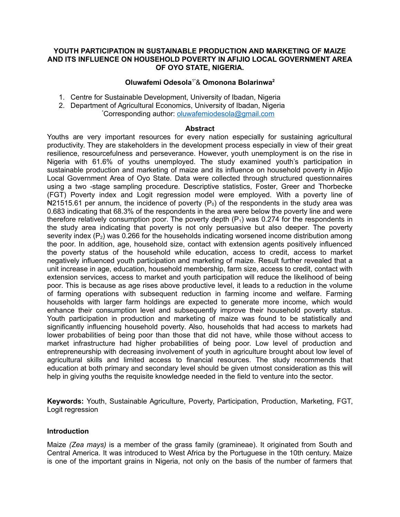#### **YOUTH PARTICIPATION IN SUSTAINABLE PRODUCTION AND MARKETING OF MAIZE AND ITS INFLUENCE ON HOUSEHOLD POVERTY IN AFIJIO LOCAL GOVERNMENT AREA OF OYO STATE, NIGERIA.**

## **Oluwafemi Odesola**1\*& **Omonona Bolarinwa<sup>2</sup>**

- 1. Centre for Sustainable Development, University of Ibadan, Nigeria
- 2. Department of Agricultural Economics, University of Ibadan, Nigeria \*Corresponding author: [oluwafemiodesola@gmail.com](mailto:oluwafemiodesola@gmail.com)

#### **Abstract**

Youths are very important resources for every nation especially for sustaining agricultural productivity. They are stakeholders in the development process especially in view of their great resilience, resourcefulness and perseverance. However, youth unemployment is on the rise in Nigeria with 61.6% of youths unemployed. The study examined youth's participation in sustainable production and marketing of maize and its influence on household poverty in Afijio Local Government Area of Oyo State. Data were collected through structured questionnaires using a two -stage sampling procedure. Descriptive statistics, Foster, Greer and Thorbecke (FGT) Poverty index and Logit regression model were employed. With a poverty line of  $\text{N21515.61}$  per annum, the incidence of poverty (P<sub>0</sub>) of the respondents in the study area was 0.683 indicating that 68.3% of the respondents in the area were below the poverty line and were therefore relatively consumption poor. The poverty depth  $(P_1)$  was 0.274 for the respondents in the study area indicating that poverty is not only persuasive but also deeper. The poverty severity index  $(P_2)$  was 0.266 for the households indicating worsened income distribution among the poor. In addition, age, household size, contact with extension agents positively influenced the poverty status of the household while education, access to credit, access to market negatively influenced youth participation and marketing of maize. Result further revealed that a unit increase in age, education, household membership, farm size, access to credit, contact with extension services, access to market and youth participation will reduce the likelihood of being poor. This is because as age rises above productive level, it leads to a reduction in the volume of farming operations with subsequent reduction in farming income and welfare. Farming households with larger farm holdings are expected to generate more income, which would enhance their consumption level and subsequently improve their household poverty status. Youth participation in production and marketing of maize was found to be statistically and significantly influencing household poverty. Also, households that had access to markets had lower probabilities of being poor than those that did not have, while those without access to market infrastructure had higher probabilities of being poor. Low level of production and entrepreneurship with decreasing involvement of youth in agriculture brought about low level of agricultural skills and limited access to financial resources. The study recommends that education at both primary and secondary level should be given utmost consideration as this will help in giving youths the requisite knowledge needed in the field to venture into the sector.

**Keywords:** Youth, Sustainable Agriculture, Poverty, Participation, Production, Marketing, FGT, Logit regression

### **Introduction**

Maize *(Zea mays)* is a member of the grass family (gramineae). It originated from South and Central America. It was introduced to West Africa by the Portuguese in the 10th century. Maize is one of the important grains in Nigeria, not only on the basis of the number of farmers that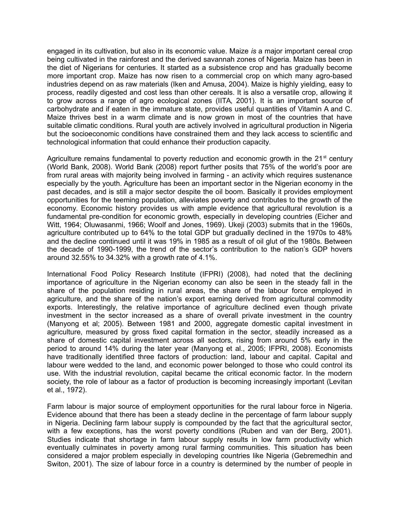engaged in its cultivation, but also in its economic value. Maize *is* a major important cereal crop being cultivated in the rainforest and the derived savannah zones of Nigeria. Maize has been in the diet of Nigerians for centuries. It started as a subsistence crop and has gradually become more important crop. Maize has now risen to a commercial crop on which many agro-based industries depend on as raw materials (Iken and Amusa, 2004). Maize is highly yielding, easy to process, readily digested and cost less than other cereals. It is also a versatile crop, allowing it to grow across a range of agro ecological zones (IITA, 2001). It is an important source of carbohydrate and if eaten in the immature state, provides useful quantities of Vitamin A and C. Maize thrives best in a warm climate and is now grown in most of the countries that have suitable climatic conditions. Rural youth are actively involved in agricultural production in Nigeria but the socioeconomic conditions have constrained them and they lack access to scientific and technological information that could enhance their production capacity.

Agriculture remains fundamental to poverty reduction and economic growth in the  $21<sup>st</sup>$  century (World Bank, 2008). World Bank (2008) report further posits that 75% of the world's poor are from rural areas with majority being involved in farming - an activity which requires sustenance especially by the youth. Agriculture has been an important sector in the Nigerian economy in the past decades, and is still a major sector despite the oil boom. Basically it provides employment opportunities for the teeming population, alleviates poverty and contributes to the growth of the economy. Economic history provides us with ample evidence that agricultural revolution is a fundamental pre-condition for economic growth, especially in developing countries (Eicher and Witt, 1964; Oluwasanmi, 1966; Woolf and Jones, 1969). Ukeji (2003) submits that in the 1960s, agriculture contributed up to 64% to the total GDP but gradually declined in the 1970s to 48% and the decline continued until it was 19% in 1985 as a result of oil glut of the 1980s. Between the decade of 1990-1999, the trend of the sector's contribution to the nation's GDP hovers around 32.55% to 34.32% with a growth rate of 4.1%.

International Food Policy Research Institute (IFPRI) (2008), had noted that the declining importance of agriculture in the Nigerian economy can also be seen in the steady fall in the share of the population residing in rural areas, the share of the labour force employed in agriculture, and the share of the nation's export earning derived from agricultural commodity exports. Interestingly, the relative importance of agriculture declined even though private investment in the sector increased as a share of overall private investment in the country (Manyong et al; 2005). Between 1981 and 2000, aggregate domestic capital investment in agriculture, measured by gross fixed capital formation in the sector, steadily increased as a share of domestic capital investment across all sectors, rising from around 5% early in the period to around 14% during the later year (Manyong et al., 2005; IFPRI, 2008). Economists have traditionally identified three factors of production: land, labour and capital. Capital and labour were wedded to the land, and economic power belonged to those who could control its use. With the industrial revolution, capital became the critical economic factor. In the modern society, the role of labour as a factor of production is becoming increasingly important (Levitan et al., 1972).

Farm labour is major source of employment opportunities for the rural labour force in Nigeria. Evidence abound that there has been a steady decline in the percentage of farm labour supply in Nigeria. Declining farm labour supply is compounded by the fact that the agricultural sector, with a few exceptions, has the worst poverty conditions (Ruben and van der Berg, 2001). Studies indicate that shortage in farm labour supply results in low farm productivity which eventually culminates in poverty among rural farming communities. This situation has been considered a major problem especially in developing countries like Nigeria (Gebremedhin and Switon, 2001). The size of labour force in a country is determined by the number of people in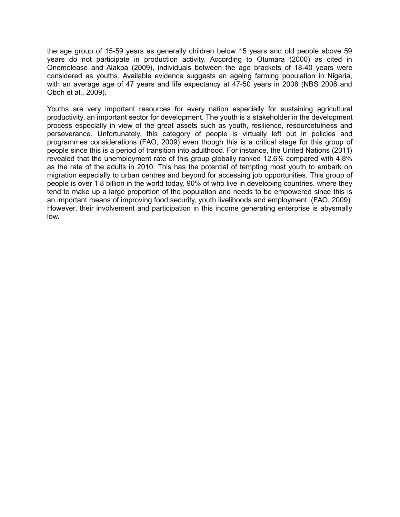the age group of 15-59 years as generally children below 15 years and old people above 59 years do not participate in production activity. According to Otumara (2000) as cited in Onemolease and Alakpa (2009), individuals between the age brackets of 18-40 years were considered as youths. Available evidence suggests an ageing farming population in Nigeria, with an average age of 47 years and life expectancy at 47-50 years in 2008 (NBS 2008 and Oboh et al., 2009).

Youths are very important resources for every nation especially for sustaining agricultural productivity, an important sector for development. The youth is a stakeholder in the development process especially in view of the great assets such as youth, resilience, resourcefulness and perseverance. Unfortunately, this category of people is virtually left out in policies and programmes considerations (FAO, 2009) even though this is a critical stage for this group of people since this is a period of transition into adulthood. For instance, the United Nations (2011) revealed that the unemployment rate of this group globally ranked 12.6% compared with 4.8% as the rate of the adults in 2010. This has the potential of tempting most youth to embark on migration especially to urban centres and beyond for accessing job opportunities. This group of people is over 1.8 billion in the world today, 90% of who live in developing countries, where they tend to make up a large proportion of the population and needs to be empowered since this is an important means of improving food security, youth livelihoods and employment. (FAO, 2009). However, their involvement and participation in this income generating enterprise is abysmally low.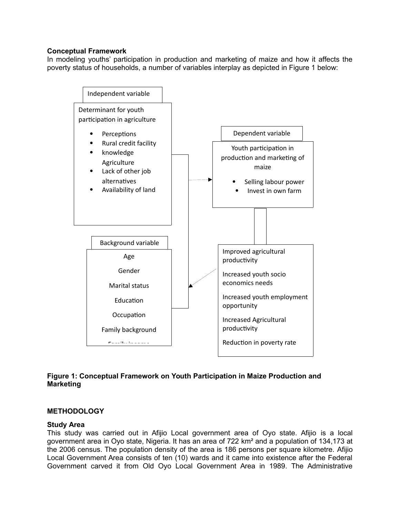## **Conceptual Framework**

In modeling youths' participation in production and marketing of maize and how it affects the poverty status of households, a number of variables interplay as depicted in Figure 1 below:



# **Figure 1: Conceptual Framework on Youth Participation in Maize Production and Marketing**

### **METHODOLOGY**

### **Study Area**

This study was carried out in Afijio Local government area of Oyo state. Afijio is a local government area in Oyo state, Nigeria. It has an area of 722 km² and a population of 134,173 at the 2006 census. The population density of the area is 186 persons per square kilometre. Afijio Local Government Area consists of ten (10) wards and it came into existence after the Federal Government carved it from Old Oyo Local Government Area in 1989. The Administrative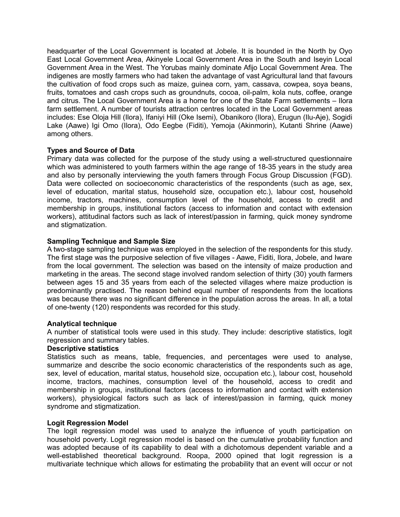headquarter of the Local Government is located at Jobele. It is bounded in the North by Oyo East Local Government Area, Akinyele Local Government Area in the South and Iseyin Local Government Area in the West. The Yorubas mainly dominate Afijo Local Government Area. The indigenes are mostly farmers who had taken the advantage of vast Agricultural land that favours the cultivation of food crops such as maize, guinea corn, yam, cassava, cowpea, soya beans, fruits, tomatoes and cash crops such as groundnuts, cocoa, oil-palm, kola nuts, coffee, orange and citrus. The Local Government Area is a home for one of the State Farm settlements – Ilora farm settlement. A number of tourists attraction centres located in the Local Government areas includes: Ese Oloja Hill (Ilora), Ifaniyi Hill (Oke Isemi), Obanikoro (Ilora), Erugun (Ilu-Aje), Sogidi Lake (Aawe) Igi Omo (Ilora), Odo Eegbe (Fiditi), Yemoja (Akinmorin), Kutanti Shrine (Aawe) among others.

# **Types and Source of Data**

Primary data was collected for the purpose of the study using a well-structured questionnaire which was administered to youth farmers within the age range of 18-35 years in the study area and also by personally interviewing the youth famers through Focus Group Discussion (FGD). Data were collected on socioeconomic characteristics of the respondents (such as age, sex, level of education, marital status, household size, occupation etc.), labour cost, household income, tractors, machines, consumption level of the household, access to credit and membership in groups, institutional factors (access to information and contact with extension workers), attitudinal factors such as lack of interest/passion in farming, quick money syndrome and stigmatization.

# **Sampling Technique and Sample Size**

A two-stage sampling technique was employed in the selection of the respondents for this study. The first stage was the purposive selection of five villages - Aawe, Fiditi, Ilora, Jobele, and Iware from the local government. The selection was based on the intensity of maize production and marketing in the areas. The second stage involved random selection of thirty (30) youth farmers between ages 15 and 35 years from each of the selected villages where maize production is predominantly practised. The reason behind equal number of respondents from the locations was because there was no significant difference in the population across the areas. In all, a total of one-twenty (120) respondents was recorded for this study.

# **Analytical technique**

A number of statistical tools were used in this study. They include: descriptive statistics, logit regression and summary tables.

# **Descriptive statistics**

Statistics such as means, table, frequencies, and percentages were used to analyse, summarize and describe the socio economic characteristics of the respondents such as age, sex, level of education, marital status, household size, occupation etc.), labour cost, household income, tractors, machines, consumption level of the household, access to credit and membership in groups, institutional factors (access to information and contact with extension workers), physiological factors such as lack of interest/passion in farming, quick money syndrome and stigmatization.

### **Logit Regression Model**

The logit regression model was used to analyze the influence of youth participation on household poverty. Logit regression model is based on the cumulative probability function and was adopted because of its capability to deal with a dichotomous dependent variable and a well-established theoretical background. Roopa, 2000 opined that logit regression is a multivariate technique which allows for estimating the probability that an event will occur or not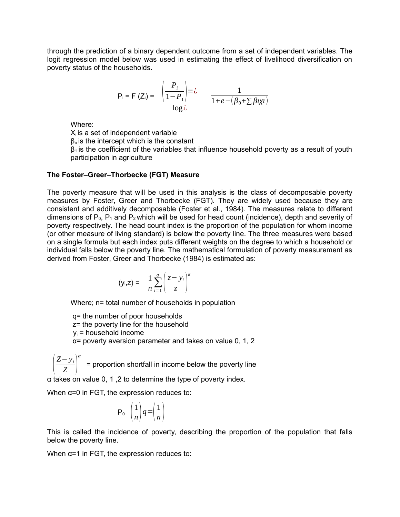through the prediction of a binary dependent outcome from a set of independent variables. The logit regression model below was used in estimating the effect of livelihood diversification on poverty status of the households.

$$
P_i = F(Z_i) = \begin{pmatrix} P_i \\ \frac{P_i}{1 - P_1} \end{pmatrix} = \lambda \qquad \frac{1}{1 + e - (\beta_0 + \sum \beta V_i)}
$$
  
log $\lambda$ 

Where:

 $X_i$  is a set of independent variable

βο is the intercept which is the constant

 $\beta_1$  is the coefficient of the variables that influence household poverty as a result of youth participation in agriculture

### **The Foster–Greer–Thorbecke (FGT) Measure**

The poverty measure that will be used in this analysis is the class of decomposable poverty measures by Foster, Greer and Thorbecke (FGT). They are widely used because they are consistent and additively decomposable (Foster et al., 1984). The measures relate to different dimensions of  $P_0$ ,  $P_1$  and  $P_2$  which will be used for head count (incidence), depth and severity of poverty respectively. The head count index is the proportion of the population for whom income (or other measure of living standard) is below the poverty line. The three measures were based on a single formula but each index puts different weights on the degree to which a household or individual falls below the poverty line. The mathematical formulation of poverty measurement as derived from Foster, Greer and Thorbecke (1984) is estimated as:

$$
(\mathsf{y}_{i},\mathsf{z}) = \frac{1}{n}\sum_{i=1}^{q}\left(\frac{\mathsf{z}-\mathsf{y}_{i}}{\mathsf{z}}\right)^{\alpha}
$$

Where; n= total number of households in population

 q= the number of poor households z= the poverty line for the household  $y_i$  = household income  $\alpha$ = poverty aversion parameter and takes on value 0, 1, 2

 $\vert$ *Z*−*y<sup>i</sup> Z* ) *α* = proportion shortfall in income below the poverty line

α takes on value 0, 1 ,2 to determine the type of poverty index.

When  $\alpha$ =0 in FGT, the expression reduces to:

$$
P_o \left(\frac{1}{n}\right)q = \left(\frac{1}{n}\right)
$$

This is called the incidence of poverty, describing the proportion of the population that falls below the poverty line.

When  $\alpha$ =1 in FGT, the expression reduces to: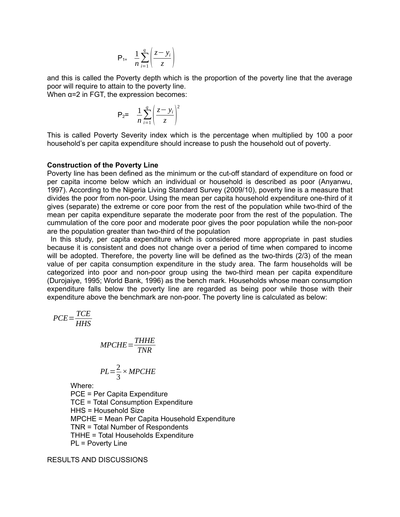$$
P_{1=}\frac{1}{n}\sum_{i=1}^{q}\left(\frac{z-y_i}{z}\right)
$$

and this is called the Poverty depth which is the proportion of the poverty line that the average poor will require to attain to the poverty line. When  $\alpha = 2$  in FGT, the expression becomes:

> $P_2 = \frac{1}{n} \sum_{i=1}^{q}$ *q*  $\vert$ *z*− *y<sup>i</sup> z* ) 2

This is called Poverty Severity index which is the percentage when multiplied by 100 a poor household's per capita expenditure should increase to push the household out of poverty.

#### **Construction of the Poverty Line**

Poverty line has been defined as the minimum or the cut-off standard of expenditure on food or per capita income below which an individual or household is described as poor (Anyanwu, 1997). According to the Nigeria Living Standard Survey (2009/10), poverty line is a measure that divides the poor from non-poor. Using the mean per capita household expenditure one-third of it gives (separate) the extreme or core poor from the rest of the population while two-third of the mean per capita expenditure separate the moderate poor from the rest of the population. The cummulation of the core poor and moderate poor gives the poor population while the non-poor are the population greater than two-third of the population

 In this study, per capita expenditure which is considered more appropriate in past studies because it is consistent and does not change over a period of time when compared to income will be adopted. Therefore, the poverty line will be defined as the two-thirds (2/3) of the mean value of per capita consumption expenditure in the study area. The farm households will be categorized into poor and non-poor group using the two-third mean per capita expenditure (Durojaiye, 1995; World Bank, 1996) as the bench mark. Households whose mean consumption expenditure falls below the poverty line are regarded as being poor while those with their expenditure above the benchmark are non-poor. The poverty line is calculated as below:

$$
PCE = \frac{TCE}{HHS}
$$

$$
MPCHE = \frac{THHE}{TNR}
$$

$$
PL = \frac{2}{3} \times MPCHE
$$

Where:

PCE = Per Capita Expenditure TCE = Total Consumption Expenditure HHS = Household Size MPCHE = Mean Per Capita Household Expenditure TNR = Total Number of Respondents THHE = Total Households Expenditure PL = Poverty Line

RESULTS AND DISCUSSIONS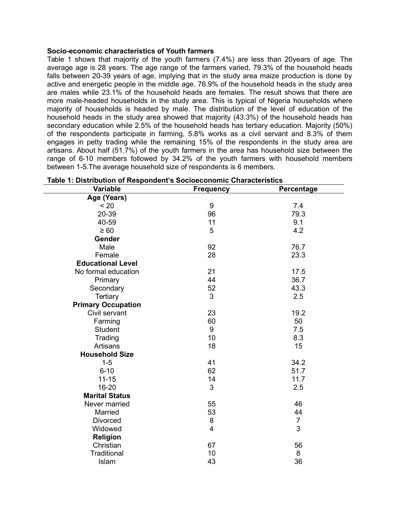### **Socio-economic characteristics of Youth farmers**

Table 1 shows that majority of the youth farmers (7.4%) are less than 20years of age. The average age is 28 years. The age range of the farmers varied, 79.3% of the household heads falls between 20-39 years of age, implying that in the study area maize production is done by active and energetic people in the middle age. 76.9% of the household heads in the study area are males while 23.1% of the household heads are females. The result shows that there are more male-headed households in the study area. This is typical of Nigeria households where majority of households is headed by male. The distribution of the level of education of the household heads in the study area showed that majority (43.3%) of the household heads has secondary education while 2.5% of the household heads has tertiary education. Majority (50%) of the respondents participate in farming, 5.8% works as a civil servant and 8.3% of them engages in petty trading while the remaining 15% of the respondents in the study area are artisans. About half (51.7%) of the youth farmers in the area has household size between the range of 6-10 members followed by 34.2% of the youth farmers with household members between 1-5.The average household size of respondents is 6 members.

| Table 1: Distribution of Respondent's Socioeconomic Characteristics |                  |                |
|---------------------------------------------------------------------|------------------|----------------|
| Variable                                                            | <b>Frequency</b> | Percentage     |
| Age (Years)                                                         |                  |                |
| < 20                                                                | 9                | 7.4            |
| 20-39                                                               | 96               | 79.3           |
| 40-59                                                               | 11               | 9.1            |
| $\geq 60$                                                           | 5                | 4.2            |
| Gender                                                              |                  |                |
| Male                                                                | 92               | 76.7           |
| Female                                                              | 28               | 23.3           |
| <b>Educational Level</b>                                            |                  |                |
| No formal education                                                 | 21               | 17.5           |
| Primary                                                             | 44               | 36.7           |
| Secondary                                                           | 52               | 43.3           |
| Tertiary                                                            | 3                | 2.5            |
| <b>Primary Occupation</b>                                           |                  |                |
| Civil servant                                                       | 23               | 19.2           |
| Farming                                                             | 60               | 50             |
| Student                                                             | 9                | 7.5            |
| Trading                                                             | 10               | 8.3            |
| Artisans                                                            | 18               | 15             |
| <b>Household Size</b>                                               |                  |                |
| $1 - 5$                                                             | 41               | 34.2           |
| $6 - 10$                                                            | 62               | 51.7           |
| $11 - 15$                                                           | 14               | 11.7           |
| 16-20                                                               | 3                | 2.5            |
| <b>Marital Status</b>                                               |                  |                |
| Never married                                                       | 55               | 46             |
| Married                                                             | 53               | 44             |
| <b>Divorced</b>                                                     | 8                | $\overline{7}$ |
| Widowed                                                             | $\overline{4}$   | 3              |
| <b>Religion</b>                                                     |                  |                |
| Christian                                                           | 67               | 56             |
| Traditional                                                         | 10               | 8              |
| Islam                                                               | 43               | 36             |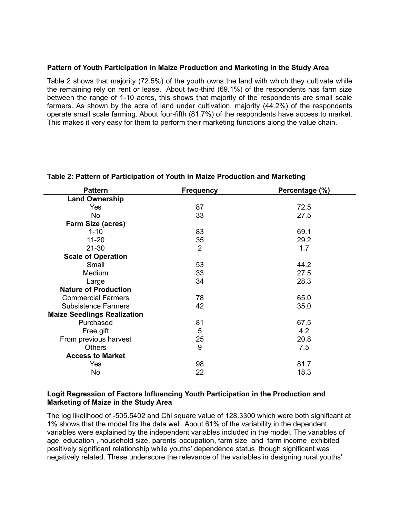## **Pattern of Youth Participation in Maize Production and Marketing in the Study Area**

Table 2 shows that majority (72.5%) of the youth owns the land with which they cultivate while the remaining rely on rent or lease. About two-third (69.1%) of the respondents has farm size between the range of 1-10 acres, this shows that majority of the respondents are small scale farmers. As shown by the acre of land under cultivation, majority (44.2%) of the respondents operate small scale farming. About four-fifth (81.7%) of the respondents have access to market. This makes it very easy for them to perform their marketing functions along the value chain.

| <b>Land Ownership</b><br>87<br>72.5<br>Yes<br>33<br><b>No</b><br>27.5<br>Farm Size (acres)<br>83<br>69.1<br>$1 - 10$<br>35<br>29.2<br>$11 - 20$<br>$\overline{2}$<br>$21 - 30$<br>1.7<br><b>Scale of Operation</b><br>Small<br>53<br>44.2<br>33<br><b>Medium</b><br>27.5<br>28.3<br>34<br>Large<br><b>Nature of Production</b><br>78<br>65.0<br><b>Commercial Farmers</b><br>42<br>35.0<br><b>Subsistence Farmers</b><br><b>Maize Seedlings Realization</b><br>Purchased<br>67.5<br>81<br>5<br>4.2<br>Free gift | <b>Pattern</b>        | <b>Frequency</b> | Percentage (%) |
|-----------------------------------------------------------------------------------------------------------------------------------------------------------------------------------------------------------------------------------------------------------------------------------------------------------------------------------------------------------------------------------------------------------------------------------------------------------------------------------------------------------------|-----------------------|------------------|----------------|
|                                                                                                                                                                                                                                                                                                                                                                                                                                                                                                                 |                       |                  |                |
|                                                                                                                                                                                                                                                                                                                                                                                                                                                                                                                 |                       |                  |                |
|                                                                                                                                                                                                                                                                                                                                                                                                                                                                                                                 |                       |                  |                |
|                                                                                                                                                                                                                                                                                                                                                                                                                                                                                                                 |                       |                  |                |
|                                                                                                                                                                                                                                                                                                                                                                                                                                                                                                                 |                       |                  |                |
|                                                                                                                                                                                                                                                                                                                                                                                                                                                                                                                 |                       |                  |                |
|                                                                                                                                                                                                                                                                                                                                                                                                                                                                                                                 |                       |                  |                |
|                                                                                                                                                                                                                                                                                                                                                                                                                                                                                                                 |                       |                  |                |
|                                                                                                                                                                                                                                                                                                                                                                                                                                                                                                                 |                       |                  |                |
|                                                                                                                                                                                                                                                                                                                                                                                                                                                                                                                 |                       |                  |                |
|                                                                                                                                                                                                                                                                                                                                                                                                                                                                                                                 |                       |                  |                |
|                                                                                                                                                                                                                                                                                                                                                                                                                                                                                                                 |                       |                  |                |
|                                                                                                                                                                                                                                                                                                                                                                                                                                                                                                                 |                       |                  |                |
|                                                                                                                                                                                                                                                                                                                                                                                                                                                                                                                 |                       |                  |                |
|                                                                                                                                                                                                                                                                                                                                                                                                                                                                                                                 |                       |                  |                |
|                                                                                                                                                                                                                                                                                                                                                                                                                                                                                                                 |                       |                  |                |
|                                                                                                                                                                                                                                                                                                                                                                                                                                                                                                                 |                       |                  |                |
|                                                                                                                                                                                                                                                                                                                                                                                                                                                                                                                 | From previous harvest | 25               | 20.8           |
| 9<br>7.5<br><b>Others</b>                                                                                                                                                                                                                                                                                                                                                                                                                                                                                       |                       |                  |                |
| <b>Access to Market</b>                                                                                                                                                                                                                                                                                                                                                                                                                                                                                         |                       |                  |                |
| 98<br>81.7<br>Yes                                                                                                                                                                                                                                                                                                                                                                                                                                                                                               |                       |                  |                |
| <b>No</b><br>22<br>18.3                                                                                                                                                                                                                                                                                                                                                                                                                                                                                         |                       |                  |                |

### **Table 2: Pattern of Participation of Youth in Maize Production and Marketing**

### **Logit Regression of Factors Influencing Youth Participation in the Production and Marketing of Maize in the Study Area**

The log likelihood of -505.5402 and Chi square value of 128.3300 which were both significant at 1% shows that the model fits the data well. About 61% of the variability in the dependent variables were explained by the independent variables included in the model. The variables of age, education , household size, parents' occupation, farm size and farm income exhibited positively significant relationship while youths' dependence status though significant was negatively related. These underscore the relevance of the variables in designing rural youths'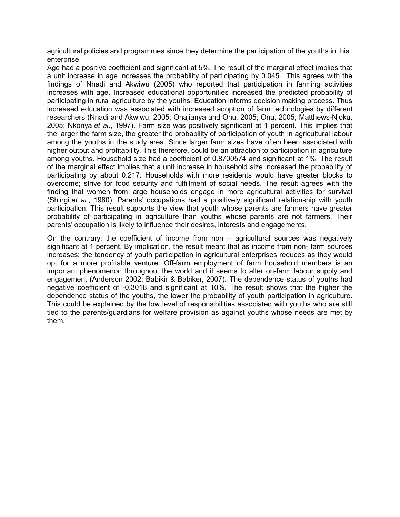agricultural policies and programmes since they determine the participation of the youths in this enterprise.

Age had a positive coefficient and significant at 5%. The result of the marginal effect implies that a unit increase in age increases the probability of participating by 0.045. This agrees with the findings of Nnadi and Akwiwu (2005) who reported that participation in farming activities increases with age. Increased educational opportunities increased the predicted probability of participating in rural agriculture by the youths. Education informs decision making process. Thus increased education was associated with increased adoption of farm technologies by different researchers (Nnadi and Akwiwu, 2005; Ohajianya and Onu, 2005; Onu, 2005; Matthews-Njoku, 2005; Nkonya *et al*., 1997). Farm size was positively significant at 1 percent. This implies that the larger the farm size, the greater the probability of participation of youth in agricultural labour among the youths in the study area. Since larger farm sizes have often been associated with higher output and profitability. This therefore, could be an attraction to participation in agriculture among youths. Household size had a coefficient of 0.8700574 and significant at 1%. The result of the marginal effect implies that a unit increase in household size increased the probability of participating by about 0.217. Households with more residents would have greater blocks to overcome; strive for food security and fulfillment of social needs. The result agrees with the finding that women from large households engage in more agricultural activities for survival (Shingi *et al*., 1980). Parents' occupations had a positively significant relationship with youth participation. This result supports the view that youth whose parents are farmers have greater probability of participating in agriculture than youths whose parents are not farmers. Their parents' occupation is likely to influence their desires, interests and engagements.

On the contrary, the coefficient of income from non – agricultural sources was negatively significant at 1 percent. By implication, the result meant that as income from non- farm sources increases; the tendency of youth participation in agricultural enterprises reduces as they would opt for a more profitable venture. Off-farm employment of farm household members is an important phenomenon throughout the world and it seems to alter on-farm labour supply and engagement (Anderson 2002; Babikir & Babiker, 2007). The dependence status of youths had negative coefficient of -0.3018 and significant at 10%. The result shows that the higher the dependence status of the youths, the lower the probability of youth participation in agriculture. This could be explained by the low level of responsibilities associated with youths who are still tied to the parents/guardians for welfare provision as against youths whose needs are met by them.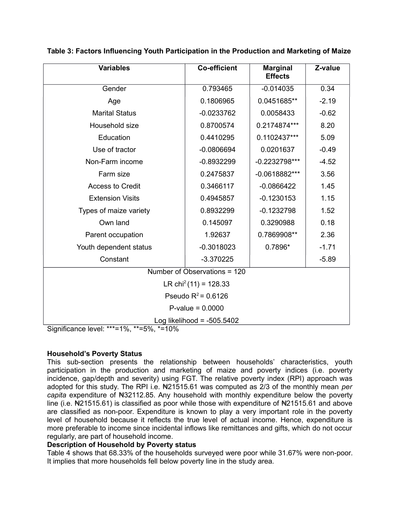| <b>Variables</b>                                                    | <b>Co-efficient</b>               | <b>Marginal</b><br><b>Effects</b> | Z-value |
|---------------------------------------------------------------------|-----------------------------------|-----------------------------------|---------|
| Gender                                                              | 0.793465                          | $-0.014035$                       | 0.34    |
| Age                                                                 | 0.1806965                         | 0.0451685**                       | $-2.19$ |
| <b>Marital Status</b>                                               | $-0.0233762$                      | 0.0058433                         | $-0.62$ |
| Household size                                                      | 0.8700574                         | 0.2174874***                      | 8.20    |
| Education                                                           | 0.4410295                         | 0.1102437***                      | 5.09    |
| Use of tractor                                                      | $-0.0806694$                      | 0.0201637                         | $-0.49$ |
| Non-Farm income                                                     | $-0.8932299$                      | $-0.2232798***$                   | $-4.52$ |
| Farm size                                                           | 0.2475837                         | $-0.0618882***$                   | 3.56    |
| <b>Access to Credit</b>                                             | 0.3466117                         | $-0.0866422$                      | 1.45    |
| <b>Extension Visits</b>                                             | 0.4945857                         | $-0.1230153$                      | 1.15    |
| Types of maize variety                                              | 0.8932299                         | $-0.1232798$                      | 1.52    |
| Own land                                                            | 0.145097                          | 0.3290988                         | 0.18    |
| Parent occupation                                                   | 1.92637                           | 0.7869908**                       | 2.36    |
| Youth dependent status                                              | $-0.3018023$                      | 0.7896*                           | $-1.71$ |
| Constant                                                            | $-3.370225$                       |                                   | $-5.89$ |
|                                                                     | Number of Observations = 120      |                                   |         |
|                                                                     | LR chi <sup>2</sup> (11) = 128.33 |                                   |         |
|                                                                     | Pseudo $R^2$ = 0.6126             |                                   |         |
|                                                                     | $P-value = 0.0000$                |                                   |         |
| $-1$ - $-1$ , $***-40'$ $**-70'$ $*$ -400/<br>$\bigcap_{i=1}^n A_i$ | Log likelihood = $-505.5402$      |                                   |         |

# **Table 3: Factors Influencing Youth Participation in the Production and Marketing of Maize**

Significance level: \*\*\*=1%, \*\*=5%, \*=10%

# **Household's Poverty Status**

This sub-section presents the relationship between households' characteristics, youth participation in the production and marketing of maize and poverty indices (i.e. poverty incidence, gap/depth and severity) using FGT. The relative poverty index (RPI) approach was adopted for this study. The RPI i.e. N<sub>21515.61</sub> was computed as 2/3 of the monthly mean per *capita* expenditure of N32112.85. Any household with monthly expenditure below the poverty line (i.e.  $\text{N21515.61}$ ) is classified as poor while those with expenditure of  $\text{N21515.61}$  and above are classified as non-poor. Expenditure is known to play a very important role in the poverty level of household because it reflects the true level of actual income. Hence, expenditure is more preferable to income since incidental inflows like remittances and gifts, which do not occur regularly, are part of household income.

# **Description of Household by Poverty status**

Table 4 shows that 68.33% of the households surveyed were poor while 31.67% were non-poor. It implies that more households fell below poverty line in the study area.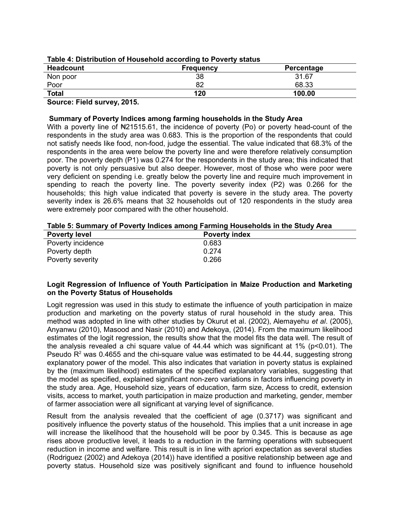|                  | <b>TANIV T. DIVILIMATION OF HUADOMONIAL AUGUI ANTIQ TO FUITY UTATION</b> |            |
|------------------|--------------------------------------------------------------------------|------------|
| <b>Headcount</b> | <b>Frequency</b>                                                         | Percentage |
| Non poor         | 38                                                                       | 31.67      |
| Poor             | 82                                                                       | 68.33      |
| <b>Total</b>     | 120                                                                      | 100.00     |

## **Table 4: Distribution of Household according to Poverty status**

**Source: Field survey, 2015.**

### **Summary of Poverty Indices among farming households in the Study Area**

With a poverty line of  $\mathbb{N}21515.61$ , the incidence of poverty (Po) or poverty head-count of the respondents in the study area was 0.683. This is the proportion of the respondents that could not satisfy needs like food, non-food, judge the essential. The value indicated that 68.3% of the respondents in the area were below the poverty line and were therefore relatively consumption poor. The poverty depth (P1) was 0.274 for the respondents in the study area; this indicated that poverty is not only persuasive but also deeper. However, most of those who were poor were very deficient on spending i.e. greatly below the poverty line and require much improvement in spending to reach the poverty line. The poverty severity index (P2) was 0.266 for the households; this high value indicated that poverty is severe in the study area. The poverty severity index is 26.6% means that 32 households out of 120 respondents in the study area were extremely poor compared with the other household.

**Table 5: Summary of Poverty Indices among Farming Households in the Study Area**

| <b>Poverty level</b> | <b>Poverty index</b> |  |
|----------------------|----------------------|--|
| Poverty incidence    | 0.683                |  |
| Poverty depth        | 0.274                |  |
| Poverty severity     | 0.266                |  |

# **Logit Regression of Influence of Youth Participation in Maize Production and Marketing on the Poverty Status of Households**

Logit regression was used in this study to estimate the influence of youth participation in maize production and marketing on the poverty status of rural household in the study area. This method was adopted in line with other studies by Okurut et al. (2002), Alemayehu *et al*. (2005), Anyanwu (2010), Masood and Nasir (2010) and Adekoya, (2014). From the maximum likelihood estimates of the logit regression, the results show that the model fits the data well. The result of the analysis revealed a chi square value of  $44.44$  which was significant at 1% ( $p<0.01$ ). The Pseudo  $R<sup>2</sup>$  was 0.4655 and the chi-square value was estimated to be 44.44, suggesting strong explanatory power of the model. This also indicates that variation in poverty status is explained by the (maximum likelihood) estimates of the specified explanatory variables, suggesting that the model as specified, explained significant non-zero variations in factors influencing poverty in the study area. Age, Household size, years of education, farm size, Access to credit, extension visits, access to market, youth participation in maize production and marketing, gender, member of farmer association were all significant at varying level of significance.

Result from the analysis revealed that the coefficient of age (0.3717) was significant and positively influence the poverty status of the household. This implies that a unit increase in age will increase the likelihood that the household will be poor by 0.345. This is because as age rises above productive level, it leads to a reduction in the farming operations with subsequent reduction in income and welfare. This result is in line with apriori expectation as several studies (Rodriguez (2002) and Adekoya (2014)) have identified a positive relationship between age and poverty status. Household size was positively significant and found to influence household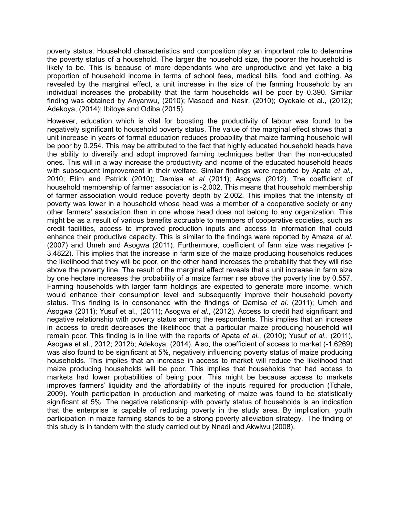poverty status. Household characteristics and composition play an important role to determine the poverty status of a household. The larger the household size, the poorer the household is likely to be. This is because of more dependants who are unproductive and yet take a big proportion of household income in terms of school fees, medical bills, food and clothing. As revealed by the marginal effect, a unit increase in the size of the farming household by an individual increases the probability that the farm households will be poor by 0.390. Similar finding was obtained by Anyanwu, (2010); Masood and Nasir, (2010); Oyekale et al., (2012); Adekoya, (2014); Ibitoye and Odiba (2015).

However, education which is vital for boosting the productivity of labour was found to be negatively significant to household poverty status. The value of the marginal effect shows that a unit increase in years of formal education reduces probability that maize farming household will be poor by 0.254. This may be attributed to the fact that highly educated household heads have the ability to diversify and adopt improved farming techniques better than the non-educated ones. This will in a way increase the productivity and income of the educated household heads with subsequent improvement in their welfare. Similar findings were reported by Apata *et al*., 2010; Etim and Patrick (2010); Damisa *et al* (2011); Asogwa (2012). The coefficient of household membership of farmer association is -2.002. This means that household membership of farmer association would reduce poverty depth by 2.002. This implies that the intensity of poverty was lower in a household whose head was a member of a cooperative society or any other farmers' association than in one whose head does not belong to any organization. This might be as a result of various benefits accruable to members of cooperative societies, such as credit facilities, access to improved production inputs and access to information that could enhance their productive capacity. This is similar to the findings were reported by Amaza *et al*. (2007) and Umeh and Asogwa (2011). Furthermore, coefficient of farm size was negative (- 3.4822). This implies that the increase in farm size of the maize producing households reduces the likelihood that they will be poor, on the other hand increases the probability that they will rise above the poverty line. The result of the marginal effect reveals that a unit increase in farm size by one hectare increases the probability of a maize farmer rise above the poverty line by 0.557. Farming households with larger farm holdings are expected to generate more income, which would enhance their consumption level and subsequently improve their household poverty status. This finding is in consonance with the findings of Damisa *et al*. (2011); Umeh and Asogwa (2011); Yusuf et al., (2011); Asogwa *et al*., (2012). Access to credit had significant and negative relationship with poverty status among the respondents. This implies that an increase in access to credit decreases the likelihood that a particular maize producing household will remain poor. This finding is in line with the reports of Apata *et al*., (2010); Yusuf *et al*., (2011), Asogwa et al., 2012; 2012b; Adekoya, (2014). Also, the coefficient of access to market (-1.6269) was also found to be significant at 5%, negatively influencing poverty status of maize producing households. This implies that an increase in access to market will reduce the likelihood that maize producing households will be poor. This implies that households that had access to markets had lower probabilities of being poor. This might be because access to markets improves farmers' liquidity and the affordability of the inputs required for production (Tchale, 2009). Youth participation in production and marketing of maize was found to be statistically significant at 5%. The negative relationship with poverty status of households is an indication that the enterprise is capable of reducing poverty in the study area. By implication, youth participation in maize farming stands to be a strong poverty alleviation strategy. The finding of this study is in tandem with the study carried out by Nnadi and Akwiwu (2008).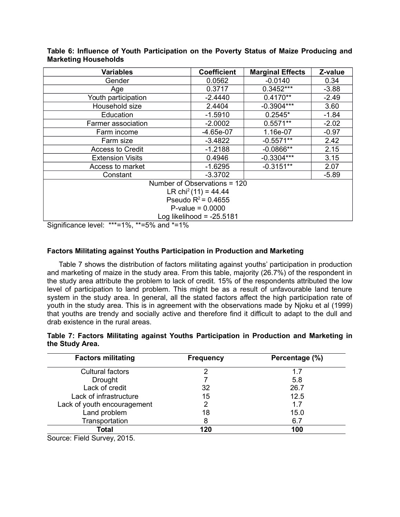| <b>Variables</b>        | <b>Coefficient</b>               | <b>Marginal Effects</b> | Z-value |
|-------------------------|----------------------------------|-------------------------|---------|
| Gender                  | 0.0562                           | $-0.0140$               | 0.34    |
| Age                     | 0.3717                           | $0.3452***$             | $-3.88$ |
| Youth participation     | $-2.4440$                        | $0.4170**$              | $-2.49$ |
| Household size          | 2.4404                           | $-0.3904***$            | 3.60    |
| Education               | $-1.5910$                        | $0.2545*$               | $-1.84$ |
| Farmer association      | $-2.0002$                        | $0.5571**$              | $-2.02$ |
| Farm income             | $-4.65e-07$                      | 1.16e-07                | $-0.97$ |
| Farm size               | $-3.4822$                        | $-0.5571**$             | 2.42    |
| <b>Access to Credit</b> | $-1.2188$                        | $-0.0866**$             | 2.15    |
| <b>Extension Visits</b> | 0.4946                           | $-0.3304***$            | 3.15    |
| Access to market        | $-1.6295$                        | $-0.3151**$             | 2.07    |
| Constant                | $-3.3702$                        |                         | $-5.89$ |
|                         | Number of Observations = 120     |                         |         |
|                         | LR chi <sup>2</sup> (11) = 44.44 |                         |         |
|                         | Pseudo $R^2$ = 0.4655            |                         |         |
|                         | $P-value = 0.0000$               |                         |         |
|                         | Log likelihood = $-25.5181$      |                         |         |

## **Table 6: Influence of Youth Participation on the Poverty Status of Maize Producing and Marketing Households**

Significance level: \*\*\*=1%, \*\*=5% and \*=1%

# **Factors Militating against Youths Participation in Production and Marketing**

Table 7 shows the distribution of factors militating against youths' participation in production and marketing of maize in the study area. From this table, majority (26.7%) of the respondent in the study area attribute the problem to lack of credit. 15% of the respondents attributed the low level of participation to land problem. This might be as a result of unfavourable land tenure system in the study area. In general, all the stated factors affect the high participation rate of youth in the study area. This is in agreement with the observations made by Njoku et al (1999) that youths are trendy and socially active and therefore find it difficult to adapt to the dull and drab existence in the rural areas.

### **Table 7: Factors Militating against Youths Participation in Production and Marketing in the Study Area.**

| <b>Factors militating</b>   | <b>Frequency</b> | Percentage (%) |
|-----------------------------|------------------|----------------|
| <b>Cultural factors</b>     | າ                | 1.7            |
| <b>Drought</b>              |                  | 5.8            |
| Lack of credit              | 32               | 26.7           |
| Lack of infrastructure      | 15               | 12.5           |
| Lack of youth encouragement |                  | 1.7            |
| Land problem                | 18               | 15.0           |
| Transportation              | 8                | 6.7            |
| Total                       | 120              | 100            |

Source: Field Survey, 2015.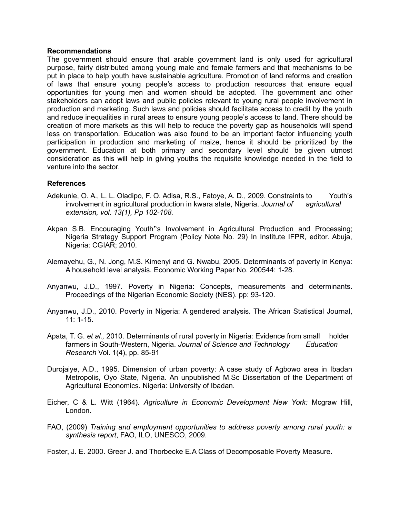#### **Recommendations**

The government should ensure that arable government land is only used for agricultural purpose, fairly distributed among young male and female farmers and that mechanisms to be put in place to help youth have sustainable agriculture. Promotion of land reforms and creation of laws that ensure young people's access to production resources that ensure equal opportunities for young men and women should be adopted. The government and other stakeholders can adopt laws and public policies relevant to young rural people involvement in production and marketing. Such laws and policies should facilitate access to credit by the youth and reduce inequalities in rural areas to ensure young people's access to land. There should be creation of more markets as this will help to reduce the poverty gap as households will spend less on transportation. Education was also found to be an important factor influencing youth participation in production and marketing of maize, hence it should be prioritized by the government. Education at both primary and secondary level should be given utmost consideration as this will help in giving youths the requisite knowledge needed in the field to venture into the sector.

### **References**

- Adekunle, O. A., L. L. Oladipo, F. O. Adisa, R.S., Fatoye, A. D., 2009. Constraints to Youth's involvement in agricultural production in kwara state, Nigeria. *Journal of agricultural extension, vol. 13(1), Pp 102-108.*
- Akpan S.B. Encouraging Youth 's Involvement in Agricultural Production and Processing; Nigeria Strategy Support Program (Policy Note No. 29) In Institute IFPR, editor. Abuja, Nigeria: CGIAR; 2010.
- Alemayehu, G., N. Jong, M.S. Kimenyi and G. Nwabu, 2005. Determinants of poverty in Kenya: A household level analysis. Economic Working Paper No. 200544: 1-28.
- Anyanwu, J.D., 1997. Poverty in Nigeria: Concepts, measurements and determinants. Proceedings of the Nigerian Economic Society (NES). pp: 93-120.
- Anyanwu, J.D., 2010. Poverty in Nigeria: A gendered analysis. The African Statistical Journal, 11: 1-15.
- Apata, T. G. *et al.,* 2010. Determinants of rural poverty in Nigeria: Evidence from small holder farmers in South-Western, Nigeria. *Journal of Science and Technology Education Research* Vol. 1(4), pp. 85-91
- Durojaiye, A.D., 1995. Dimension of urban poverty: A case study of Agbowo area in Ibadan Metropolis, Oyo State, Nigeria. An unpublished M.Sc Dissertation of the Department of Agricultural Economics. Nigeria: University of Ibadan.
- Eicher, C & L. Witt (1964). *Agriculture in Economic Development New York:* Mcgraw Hill, London.
- FAO, (2009) *Training and employment opportunities to address poverty among rural youth: a synthesis report*, FAO, ILO, UNESCO, 2009.

Foster, J. E. 2000. Greer J. and Thorbecke E.A Class of Decomposable Poverty Measure.